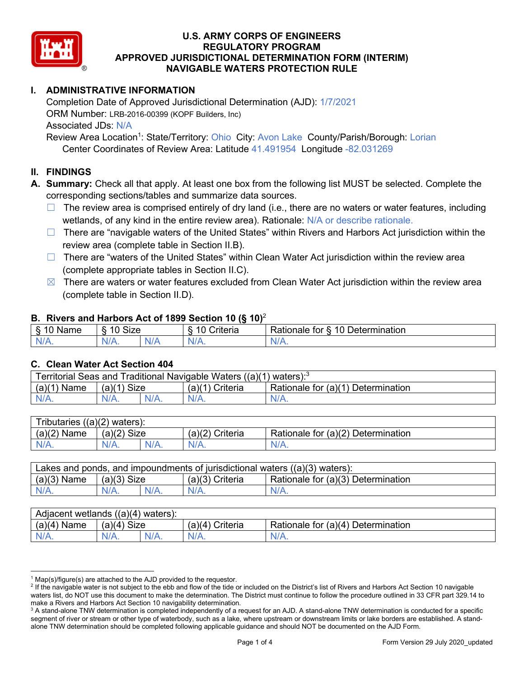

# **I. ADMINISTRATIVE INFORMATION**

Completion Date of Approved Jurisdictional Determination (AJD): 1/7/2021 ORM Number: LRB-2016-00399 (KOPF Builders, Inc) Associated JDs: N/A Review Area Location<sup>1</sup>: State/Territory: Ohio City: Avon Lake County/Parish/Borough: Lorian

Center Coordinates of Review Area: Latitude 41.491954 Longitude -82.031269

### **II. FINDINGS**

**A. Summary:** Check all that apply. At least one box from the following list MUST be selected. Complete the corresponding sections/tables and summarize data sources.

- $\Box$  The review area is comprised entirely of dry land (i.e., there are no waters or water features, including wetlands, of any kind in the entire review area). Rationale: N/A or describe rationale.
- $\Box$  There are "navigable waters of the United States" within Rivers and Harbors Act jurisdiction within the review area (complete table in Section II.B).
- $\Box$  There are "waters of the United States" within Clean Water Act jurisdiction within the review area (complete appropriate tables in Section II.C).
- $\boxtimes$  There are waters or water features excluded from Clean Water Act jurisdiction within the review area (complete table in Section II.D).

#### **B. Rivers and Harbors Act of 1899 Section 10 (§ 10)**<sup>2</sup>

| w                                           |                        |     |                                           |                                                                                |  |  |
|---------------------------------------------|------------------------|-----|-------------------------------------------|--------------------------------------------------------------------------------|--|--|
| я<br>$\sim$ 10.0 $\sim$<br>'vame'<br>υ<br>ູ | Size<br>$\overline{A}$ |     | $\overline{A}$ $\overline{C}$<br>`rıterıa | $\overline{\phantom{a}}$<br>10<br>Jetermination<br>$\sim$<br>tor<br>kationale: |  |  |
| N/L                                         | "<br>'V/A.             | NIA | N/L<br>97 / TV                            | .<br>w.<br>11 I N.                                                             |  |  |

#### **C. Clean Water Act Section 404**

| Territorial Seas and Traditional Navigable Waters ((a)(1)<br>waters): $3$ |                |  |                   |                                    |  |
|---------------------------------------------------------------------------|----------------|--|-------------------|------------------------------------|--|
| (a)(1)<br>Name                                                            | Size<br>(a)(1) |  | $(a)(1)$ Criteria | Rationale for (a)(1) Determination |  |
|                                                                           | N/A.           |  | $N/A$ .           | $N/A$ .                            |  |

| Tributaries<br>$((a)(2)$ waters): |                       |         |                    |                                    |  |
|-----------------------------------|-----------------------|---------|--------------------|------------------------------------|--|
| (a)(2)<br>Name                    | (a)(2)<br><b>Size</b> |         | (a)(2)<br>Criteria | Rationale for (a)(2) Determination |  |
| $N/A$ .                           | N/A.                  | $N/A$ . | $N/A$ .            | N/A.                               |  |

| Lakes and ponds, and impoundments of jurisdictional waters $((a)(3)$ waters): |               |  |                   |                                    |  |
|-------------------------------------------------------------------------------|---------------|--|-------------------|------------------------------------|--|
| $(a)(3)$ Name                                                                 | $(a)(3)$ Size |  | $(a)(3)$ Criteria | Rationale for (a)(3) Determination |  |
| $N/A$ .                                                                       | $N/A$ .       |  | $N/A$ .           | $N/A$ .                            |  |

| Adjacent wetlands<br>$((a)(4)$ waters): |                       |         |                   |                                    |  |  |
|-----------------------------------------|-----------------------|---------|-------------------|------------------------------------|--|--|
| (a)(4)<br>Name                          | (a)(4)<br><b>Size</b> |         | (a)(4<br>Criteria | Rationale for (a)(4) Determination |  |  |
| N/A.                                    | $N/A$ .               | $N/A$ . | $N/A$ .           | $N/A$ .                            |  |  |

 $1$  Map(s)/figure(s) are attached to the AJD provided to the requestor.

<sup>&</sup>lt;sup>2</sup> If the navigable water is not subject to the ebb and flow of the tide or included on the District's list of Rivers and Harbors Act Section 10 navigable waters list, do NOT use this document to make the determination. The District must continue to follow the procedure outlined in 33 CFR part 329.14 to make a Rivers and Harbors Act Section 10 navigability determination.

<sup>&</sup>lt;sup>3</sup> A stand-alone TNW determination is completed independently of a request for an AJD. A stand-alone TNW determination is conducted for a specific segment of river or stream or other type of waterbody, such as a lake, where upstream or downstream limits or lake borders are established. A standalone TNW determination should be completed following applicable guidance and should NOT be documented on the AJD Form.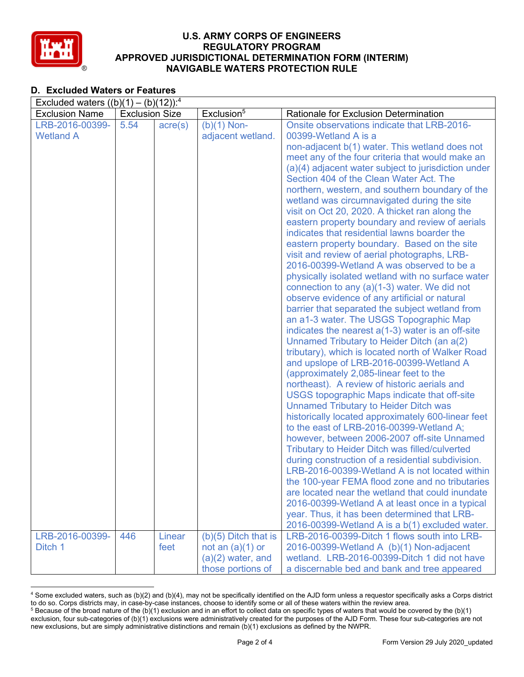

# **D. Excluded Waters or Features**

| Excluded waters $((b)(1) - (b)(12))$ : <sup>4</sup> |                       |                  |                        |                                                                                            |  |
|-----------------------------------------------------|-----------------------|------------------|------------------------|--------------------------------------------------------------------------------------------|--|
| <b>Exclusion Name</b>                               | <b>Exclusion Size</b> |                  | Exclusion <sup>5</sup> | Rationale for Exclusion Determination                                                      |  |
| LRB-2016-00399-                                     | 5.54                  | $\text{acre}(s)$ | $(b)(1)$ Non-          | Onsite observations indicate that LRB-2016-                                                |  |
| <b>Wetland A</b>                                    |                       |                  | adjacent wetland.      | 00399-Wetland A is a                                                                       |  |
|                                                     |                       |                  |                        | non-adjacent b(1) water. This wetland does not                                             |  |
|                                                     |                       |                  |                        | meet any of the four criteria that would make an                                           |  |
|                                                     |                       |                  |                        | (a)(4) adjacent water subject to jurisdiction under                                        |  |
|                                                     |                       |                  |                        | Section 404 of the Clean Water Act. The                                                    |  |
|                                                     |                       |                  |                        | northern, western, and southern boundary of the                                            |  |
|                                                     |                       |                  |                        | wetland was circumnavigated during the site                                                |  |
|                                                     |                       |                  |                        | visit on Oct 20, 2020. A thicket ran along the                                             |  |
|                                                     |                       |                  |                        | eastern property boundary and review of aerials                                            |  |
|                                                     |                       |                  |                        | indicates that residential lawns boarder the                                               |  |
|                                                     |                       |                  |                        | eastern property boundary. Based on the site                                               |  |
|                                                     |                       |                  |                        | visit and review of aerial photographs, LRB-                                               |  |
|                                                     |                       |                  |                        | 2016-00399-Wetland A was observed to be a                                                  |  |
|                                                     |                       |                  |                        | physically isolated wetland with no surface water                                          |  |
|                                                     |                       |                  |                        | connection to any (a)(1-3) water. We did not                                               |  |
|                                                     |                       |                  |                        | observe evidence of any artificial or natural                                              |  |
|                                                     |                       |                  |                        | barrier that separated the subject wetland from<br>an a1-3 water. The USGS Topographic Map |  |
|                                                     |                       |                  |                        | indicates the nearest $a(1-3)$ water is an off-site                                        |  |
|                                                     |                       |                  |                        | Unnamed Tributary to Heider Ditch (an a(2)                                                 |  |
|                                                     |                       |                  |                        | tributary), which is located north of Walker Road                                          |  |
|                                                     |                       |                  |                        | and upslope of LRB-2016-00399-Wetland A                                                    |  |
|                                                     |                       |                  |                        | (approximately 2,085-linear feet to the                                                    |  |
|                                                     |                       |                  |                        | northeast). A review of historic aerials and                                               |  |
|                                                     |                       |                  |                        | USGS topographic Maps indicate that off-site                                               |  |
|                                                     |                       |                  |                        | <b>Unnamed Tributary to Heider Ditch was</b>                                               |  |
|                                                     |                       |                  |                        | historically located approximately 600-linear feet                                         |  |
|                                                     |                       |                  |                        | to the east of LRB-2016-00399-Wetland A;                                                   |  |
|                                                     |                       |                  |                        | however, between 2006-2007 off-site Unnamed                                                |  |
|                                                     |                       |                  |                        | <b>Tributary to Heider Ditch was filled/culverted</b>                                      |  |
|                                                     |                       |                  |                        | during construction of a residential subdivision.                                          |  |
|                                                     |                       |                  |                        | LRB-2016-00399-Wetland A is not located within                                             |  |
|                                                     |                       |                  |                        | the 100-year FEMA flood zone and no tributaries                                            |  |
|                                                     |                       |                  |                        | are located near the wetland that could inundate                                           |  |
|                                                     |                       |                  |                        | 2016-00399-Wetland A at least once in a typical                                            |  |
|                                                     |                       |                  |                        | year. Thus, it has been determined that LRB-                                               |  |
|                                                     |                       |                  |                        | 2016-00399-Wetland A is a b(1) excluded water.                                             |  |
| LRB-2016-00399-                                     | 446                   | Linear           | $(b)(5)$ Ditch that is | LRB-2016-00399-Ditch 1 flows south into LRB-                                               |  |
| Ditch 1                                             |                       | feet             | not an $(a)(1)$ or     | 2016-00399-Wetland A (b)(1) Non-adjacent                                                   |  |
|                                                     |                       |                  | $(a)(2)$ water, and    | wetland. LRB-2016-00399-Ditch 1 did not have                                               |  |
|                                                     |                       |                  | those portions of      | a discernable bed and bank and tree appeared                                               |  |

<sup>4</sup> Some excluded waters, such as (b)(2) and (b)(4), may not be specifically identified on the AJD form unless a requestor specifically asks a Corps district to do so. Corps districts may, in case-by-case instances, choose to identify some or all of these waters within the review area.  $5$  Because of the broad nature of the (b)(1) exclusion and in an effort to collect data on specific types of waters that would be covered by the (b)(1)

exclusion, four sub-categories of (b)(1) exclusions were administratively created for the purposes of the AJD Form. These four sub-categories are not new exclusions, but are simply administrative distinctions and remain (b)(1) exclusions as defined by the NWPR.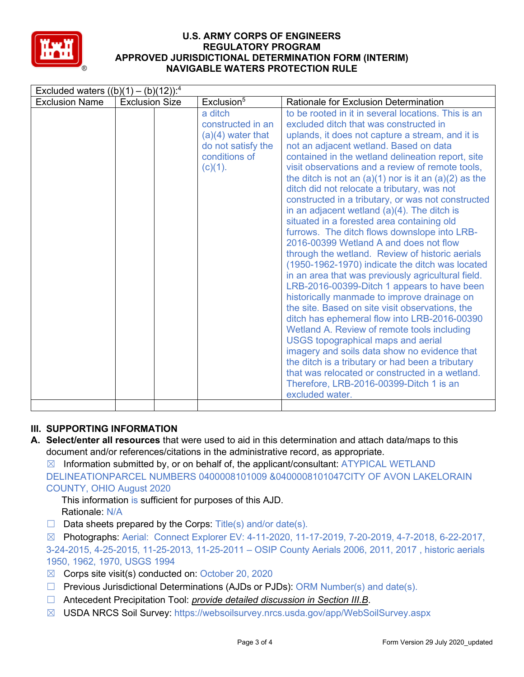

| Excluded waters $((b)(1) - (b)(12))$ : <sup>4</sup> |                       |                                                                                                          |                                                                                                                                                                                                                                                                                                                                                                                                                                                                                                                                                                                                                                                                                                                                                                                                                                                                                                                                                                                                                                                                                                                                                                                                                                                                                                                                                |  |  |
|-----------------------------------------------------|-----------------------|----------------------------------------------------------------------------------------------------------|------------------------------------------------------------------------------------------------------------------------------------------------------------------------------------------------------------------------------------------------------------------------------------------------------------------------------------------------------------------------------------------------------------------------------------------------------------------------------------------------------------------------------------------------------------------------------------------------------------------------------------------------------------------------------------------------------------------------------------------------------------------------------------------------------------------------------------------------------------------------------------------------------------------------------------------------------------------------------------------------------------------------------------------------------------------------------------------------------------------------------------------------------------------------------------------------------------------------------------------------------------------------------------------------------------------------------------------------|--|--|
| <b>Exclusion Name</b>                               | <b>Exclusion Size</b> | Exclusion <sup>5</sup>                                                                                   | <b>Rationale for Exclusion Determination</b>                                                                                                                                                                                                                                                                                                                                                                                                                                                                                                                                                                                                                                                                                                                                                                                                                                                                                                                                                                                                                                                                                                                                                                                                                                                                                                   |  |  |
|                                                     |                       | a ditch<br>constructed in an<br>$(a)(4)$ water that<br>do not satisfy the<br>conditions of<br>$(c)(1)$ . | to be rooted in it in several locations. This is an<br>excluded ditch that was constructed in<br>uplands, it does not capture a stream, and it is<br>not an adjacent wetland. Based on data<br>contained in the wetland delineation report, site<br>visit observations and a review of remote tools,<br>the ditch is not an $(a)(1)$ nor is it an $(a)(2)$ as the<br>ditch did not relocate a tributary, was not<br>constructed in a tributary, or was not constructed<br>in an adjacent wetland $(a)(4)$ . The ditch is<br>situated in a forested area containing old<br>furrows. The ditch flows downslope into LRB-<br>2016-00399 Wetland A and does not flow<br>through the wetland. Review of historic aerials<br>(1950-1962-1970) indicate the ditch was located<br>in an area that was previously agricultural field.<br>LRB-2016-00399-Ditch 1 appears to have been<br>historically manmade to improve drainage on<br>the site. Based on site visit observations, the<br>ditch has ephemeral flow into LRB-2016-00390<br>Wetland A. Review of remote tools including<br><b>USGS topographical maps and aerial</b><br>imagery and soils data show no evidence that<br>the ditch is a tributary or had been a tributary<br>that was relocated or constructed in a wetland.<br>Therefore, LRB-2016-00399-Ditch 1 is an<br>excluded water. |  |  |
|                                                     |                       |                                                                                                          |                                                                                                                                                                                                                                                                                                                                                                                                                                                                                                                                                                                                                                                                                                                                                                                                                                                                                                                                                                                                                                                                                                                                                                                                                                                                                                                                                |  |  |

# **III. SUPPORTING INFORMATION**

**A. Select/enter all resources** that were used to aid in this determination and attach data/maps to this document and/or references/citations in the administrative record, as appropriate.

 $\boxtimes$  Information submitted by, or on behalf of, the applicant/consultant: ATYPICAL WETLAND DELINEATIONPARCEL NUMBERS 0400008101009 &0400008101047CITY OF AVON LAKELORAIN COUNTY, OHIO August 2020

This information is sufficient for purposes of this AJD. Rationale: N/A

 $\Box$  Data sheets prepared by the Corps: Title(s) and/or date(s).

☒ Photographs: Aerial: Connect Explorer EV: 4-11-2020, 11-17-2019, 7-20-2019, 4-7-2018, 6-22-2017, 3-24-2015, 4-25-2015, 11-25-2013, 11-25-2011 – OSIP County Aerials 2006, 2011, 2017 , historic aerials 1950, 1962, 1970, USGS 1994

- $\boxtimes$  Corps site visit(s) conducted on: October 20, 2020
- ☐ Previous Jurisdictional Determinations (AJDs or PJDs): ORM Number(s) and date(s).
- ☐ Antecedent Precipitation Tool: *provide detailed discussion in Section III.B*.
- ☒ USDA NRCS Soil Survey: https://websoilsurvey.nrcs.usda.gov/app/WebSoilSurvey.aspx